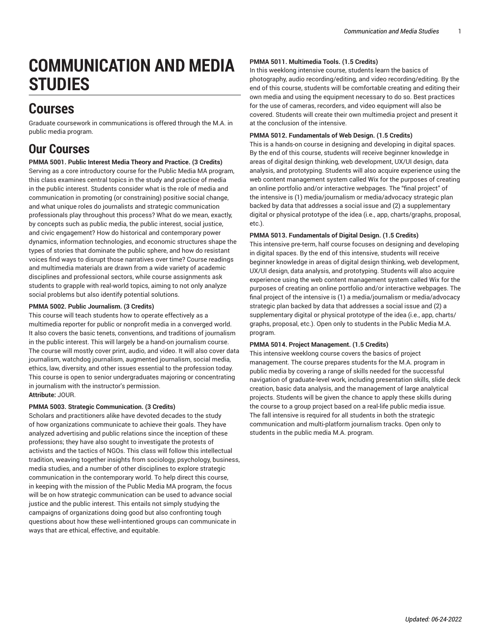# **COMMUNICATION AND MEDIA STUDIES**

## **Courses**

Graduate coursework in communications is offered through the [M.A. in](https://bulletin.fordham.edu/gsas/communication-media-studies/public-media-ma/) [public media](https://bulletin.fordham.edu/gsas/communication-media-studies/public-media-ma/) program.

## **Our Courses**

## **PMMA 5001. Public Interest Media Theory and Practice. (3 Credits)**

Serving as a core introductory course for the Public Media MA program, this class examines central topics in the study and practice of media in the public interest. Students consider what is the role of media and communication in promoting (or constraining) positive social change, and what unique roles do journalists and strategic communication professionals play throughout this process? What do we mean, exactly, by concepts such as public media, the public interest, social justice, and civic engagement? How do historical and contemporary power dynamics, information technologies, and economic structures shape the types of stories that dominate the public sphere, and how do resistant voices find ways to disrupt those narratives over time? Course readings and multimedia materials are drawn from a wide variety of academic disciplines and professional sectors, while course assignments ask students to grapple with real-world topics, aiming to not only analyze social problems but also identify potential solutions.

## **PMMA 5002. Public Journalism. (3 Credits)**

This course will teach students how to operate effectively as a multimedia reporter for public or nonprofit media in a converged world. It also covers the basic tenets, conventions, and traditions of journalism in the public interest. This will largely be a hand-on journalism course. The course will mostly cover print, audio, and video. It will also cover data journalism, watchdog journalism, augmented journalism, social media, ethics, law, diversity, and other issues essential to the profession today. This course is open to senior undergraduates majoring or concentrating in journalism with the instructor's permission. **Attribute:** JOUR.

## **PMMA 5003. Strategic Communication. (3 Credits)**

Scholars and practitioners alike have devoted decades to the study of how organizations communicate to achieve their goals. They have analyzed advertising and public relations since the inception of these professions; they have also sought to investigate the protests of activists and the tactics of NGOs. This class will follow this intellectual tradition, weaving together insights from sociology, psychology, business, media studies, and a number of other disciplines to explore strategic communication in the contemporary world. To help direct this course, in keeping with the mission of the Public Media MA program, the focus will be on how strategic communication can be used to advance social justice and the public interest. This entails not simply studying the campaigns of organizations doing good but also confronting tough questions about how these well-intentioned groups can communicate in ways that are ethical, effective, and equitable.

## **PMMA 5011. Multimedia Tools. (1.5 Credits)**

In this weeklong intensive course, students learn the basics of photography, audio recording/editing, and video recording/editing. By the end of this course, students will be comfortable creating and editing their own media and using the equipment necessary to do so. Best practices for the use of cameras, recorders, and video equipment will also be covered. Students will create their own multimedia project and present it at the conclusion of the intensive.

## **PMMA 5012. Fundamentals of Web Design. (1.5 Credits)**

This is a hands-on course in designing and developing in digital spaces. By the end of this course, students will receive beginner knowledge in areas of digital design thinking, web development, UX/UI design, data analysis, and prototyping. Students will also acquire experience using the web content management system called Wix for the purposes of creating an online portfolio and/or interactive webpages. The "final project" of the intensive is (1) media/journalism or media/advocacy strategic plan backed by data that addresses a social issue and (2) a supplementary digital or physical prototype of the idea (i.e., app, charts/graphs, proposal, etc.).

## **PMMA 5013. Fundamentals of Digital Design. (1.5 Credits)**

This intensive pre-term, half course focuses on designing and developing in digital spaces. By the end of this intensive, students will receive beginner knowledge in areas of digital design thinking, web development, UX/UI design, data analysis, and prototyping. Students will also acquire experience using the web content management system called Wix for the purposes of creating an online portfolio and/or interactive webpages. The final project of the intensive is (1) a media/journalism or media/advocacy strategic plan backed by data that addresses a social issue and (2) a supplementary digital or physical prototype of the idea (i.e., app, charts/ graphs, proposal, etc.). Open only to students in the Public Media M.A. program.

## **PMMA 5014. Project Management. (1.5 Credits)**

This intensive weeklong course covers the basics of project management. The course prepares students for the M.A. program in public media by covering a range of skills needed for the successful navigation of graduate-level work, including presentation skills, slide deck creation, basic data analysis, and the management of large analytical projects. Students will be given the chance to apply these skills during the course to a group project based on a real-life public media issue. The fall intensive is required for all students in both the strategic communication and multi-platform journalism tracks. Open only to students in the public media M.A. program.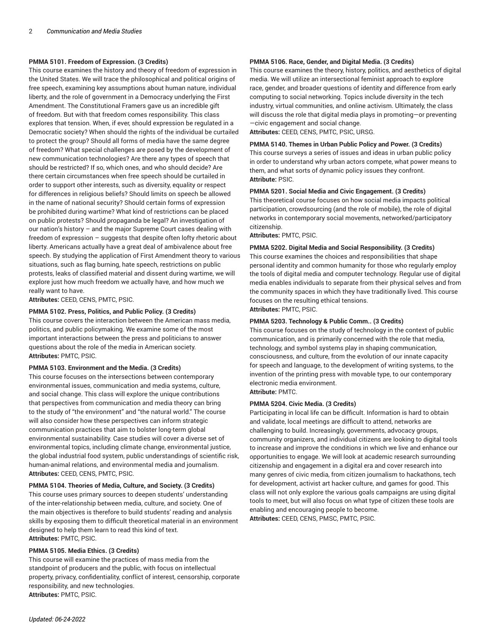## **PMMA 5101. Freedom of Expression. (3 Credits)**

This course examines the history and theory of freedom of expression in the United States. We will trace the philosophical and political origins of free speech, examining key assumptions about human nature, individual liberty, and the role of government in a Democracy underlying the First Amendment. The Constitutional Framers gave us an incredible gift of freedom. But with that freedom comes responsibility. This class explores that tension. When, if ever, should expression be regulated in a Democratic society? When should the rights of the individual be curtailed to protect the group? Should all forms of media have the same degree of freedom? What special challenges are posed by the development of new communication technologies? Are there any types of speech that should be restricted? If so, which ones, and who should decide? Are there certain circumstances when free speech should be curtailed in order to support other interests, such as diversity, equality or respect for differences in religious beliefs? Should limits on speech be allowed in the name of national security? Should certain forms of expression be prohibited during wartime? What kind of restrictions can be placed on public protests? Should propaganda be legal? An investigation of our nation's history – and the major Supreme Court cases dealing with freedom of expression – suggests that despite often lofty rhetoric about liberty. Americans actually have a great deal of ambivalence about free speech. By studying the application of First Amendment theory to various situations, such as flag burning, hate speech, restrictions on public protests, leaks of classified material and dissent during wartime, we will explore just how much freedom we actually have, and how much we really want to have.

**Attributes:** CEED, CENS, PMTC, PSIC.

## **PMMA 5102. Press, Politics, and Public Policy. (3 Credits)**

This course covers the interaction between the American mass media, politics, and public policymaking. We examine some of the most important interactions between the press and politicians to answer questions about the role of the media in American society. **Attributes:** PMTC, PSIC.

## **PMMA 5103. Environment and the Media. (3 Credits)**

This course focuses on the intersections between contemporary environmental issues, communication and media systems, culture, and social change. This class will explore the unique contributions that perspectives from communication and media theory can bring to the study of "the environment" and "the natural world." The course will also consider how these perspectives can inform strategic communication practices that aim to bolster long-term global environmental sustainability. Case studies will cover a diverse set of environmental topics, including climate change, environmental justice, the global industrial food system, public understandings of scientific risk, human-animal relations, and environmental media and journalism. **Attributes:** CEED, CENS, PMTC, PSIC.

## **PMMA 5104. Theories of Media, Culture, and Society. (3 Credits)**

This course uses primary sources to deepen students' understanding of the inter-relationship between media, culture, and society. One of the main objectives is therefore to build students' reading and analysis skills by exposing them to difficult theoretical material in an environment designed to help them learn to read this kind of text. **Attributes:** PMTC, PSIC.

## **PMMA 5105. Media Ethics. (3 Credits)**

This course will examine the practices of mass media from the standpoint of producers and the public, with focus on intellectual property, privacy, confidentiality, conflict of interest, censorship, corporate responsibility, and new technologies. **Attributes:** PMTC, PSIC.

#### **PMMA 5106. Race, Gender, and Digital Media. (3 Credits)**

This course examines the theory, history, politics, and aesthetics of digital media. We will utilize an intersectional feminist approach to explore race, gender, and broader questions of identity and difference from early computing to social networking. Topics include diversity in the tech industry, virtual communities, and online activism. Ultimately, the class will discuss the role that digital media plays in promoting—or preventing —civic engagement and social change.

**Attributes:** CEED, CENS, PMTC, PSIC, URSG.

## **PMMA 5140. Themes in Urban Public Policy and Power. (3 Credits)**

This course surveys a series of issues and ideas in urban public policy in order to understand why urban actors compete, what power means to them, and what sorts of dynamic policy issues they confront. **Attribute:** PSIC.

#### **PMMA 5201. Social Media and Civic Engagement. (3 Credits)**

This theoretical course focuses on how social media impacts political participation, crowdsourcing (and the role of mobile), the role of digital networks in contemporary social movements, networked/participatory citizenship.

**Attributes:** PMTC, PSIC.

## **PMMA 5202. Digital Media and Social Responsibility. (3 Credits)**

This course examines the choices and responsibilities that shape personal identity and common humanity for those who regularly employ the tools of digital media and computer technology. Regular use of digital media enables individuals to separate from their physical selves and from the community spaces in which they have traditionally lived. This course focuses on the resulting ethical tensions. **Attributes:** PMTC, PSIC.

## **PMMA 5203. Technology & Public Comm.. (3 Credits)**

This course focuses on the study of technology in the context of public communication, and is primarily concerned with the role that media, technology, and symbol systems play in shaping communication, consciousness, and culture, from the evolution of our innate capacity for speech and language, to the development of writing systems, to the invention of the printing press with movable type, to our contemporary electronic media environment.

## **Attribute:** PMTC.

#### **PMMA 5204. Civic Media. (3 Credits)**

Participating in local life can be difficult. Information is hard to obtain and validate, local meetings are difficult to attend, networks are challenging to build. Increasingly, governments, advocacy groups, community organizers, and individual citizens are looking to digital tools to increase and improve the conditions in which we live and enhance our opportunities to engage. We will look at academic research surrounding citizenship and engagement in a digital era and cover research into many genres of civic media, from citizen journalism to hackathons, tech for development, activist art hacker culture, and games for good. This class will not only explore the various goals campaigns are using digital tools to meet, but will also focus on what type of citizen these tools are enabling and encouraging people to become. **Attributes:** CEED, CENS, PMSC, PMTC, PSIC.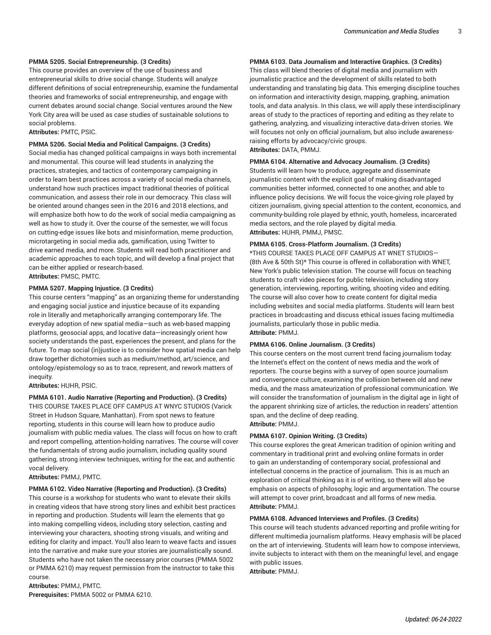## **PMMA 5205. Social Entrepreneurship. (3 Credits)**

This course provides an overview of the use of business and entrepreneurial skills to drive social change. Students will analyze different definitions of social entrepreneurship, examine the fundamental theories and frameworks of social entrepreneurship, and engage with current debates around social change. Social ventures around the New York City area will be used as case studies of sustainable solutions to social problems.

**Attributes:** PMTC, PSIC.

#### **PMMA 5206. Social Media and Political Campaigns. (3 Credits)**

Social media has changed political campaigns in ways both incremental and monumental. This course will lead students in analyzing the practices, strategies, and tactics of contemporary campaigning in order to learn best practices across a variety of social media channels, understand how such practices impact traditional theories of political communication, and assess their role in our democracy. This class will be oriented around changes seen in the 2016 and 2018 elections, and will emphasize both how to do the work of social media campaigning as well as how to study it. Over the course of the semester, we will focus on cutting-edge issues like bots and misinformation, meme production, microtargeting in social media ads, gamification, using Twitter to drive earned media, and more. Students will read both practitioner and academic approaches to each topic, and will develop a final project that can be either applied or research-based. **Attributes:** PMSC, PMTC.

#### **PMMA 5207. Mapping Injustice. (3 Credits)**

This course centers "mapping" as an organizing theme for understanding and engaging social justice and injustice because of its expanding role in literally and metaphorically arranging contemporary life. The everyday adoption of new spatial media—such as web-based mapping platforms, geosocial apps, and locative data—increasingly orient how society understands the past, experiences the present, and plans for the future. To map social (in)justice is to consider how spatial media can help draw together dichotomies such as medium/method, art/science, and ontology/epistemology so as to trace, represent, and rework matters of inequity.

#### **Attributes:** HUHR, PSIC.

**PMMA 6101. Audio Narrative (Reporting and Production). (3 Credits)** THIS COURSE TAKES PLACE OFF CAMPUS AT WNYC STUDIOS (Varick Street in Hudson Square, Manhattan). From spot news to feature reporting, students in this course will learn how to produce audio journalism with public media values. The class will focus on how to craft and report compelling, attention-holding narratives. The course will cover the fundamentals of strong audio journalism, including quality sound gathering, strong interview techniques, writing for the ear, and authentic vocal delivery.

**Attributes:** PMMJ, PMTC.

## **PMMA 6102. Video Narrative (Reporting and Production). (3 Credits)**

This course is a workshop for students who want to elevate their skills in creating videos that have strong story lines and exhibit best practices in reporting and production. Students will learn the elements that go into making compelling videos, including story selection, casting and interviewing your characters, shooting strong visuals, and writing and editing for clarity and impact. You'll also learn to weave facts and issues into the narrative and make sure your stories are journalistically sound. Students who have not taken the necessary prior courses (PMMA 5002 or PMMA 6210) may request permission from the instructor to take this course.

**Attributes:** PMMJ, PMTC. **Prerequisites:** PMMA 5002 or PMMA 6210.

## **PMMA 6103. Data Journalism and Interactive Graphics. (3 Credits)**

This class will blend theories of digital media and journalism with journalistic practice and the development of skills related to both understanding and translating big data. This emerging discipline touches on information and interactivity design, mapping, graphing, animation tools, and data analysis. In this class, we will apply these interdisciplinary areas of study to the practices of reporting and editing as they relate to gathering, analyzing, and visualizing interactive data-driven stories. We will focuses not only on official journalism, but also include awarenessraising efforts by advocacy/civic groups.

**Attributes:** DATA, PMMJ.

#### **PMMA 6104. Alternative and Advocacy Journalism. (3 Credits)**

Students will learn how to produce, aggregate and disseminate journalistic content with the explicit goal of making disadvantaged communities better informed, connected to one another, and able to influence policy decisions. We will focus the voice-giving role played by citizen journalism, giving special attention to the content, economics, and community-building role played by ethnic, youth, homeless, incarcerated media sectors, and the role played by digital media. **Attributes:** HUHR, PMMJ, PMSC.

## **PMMA 6105. Cross-Platform Journalism. (3 Credits)**

\*THIS COURSE TAKES PLACE OFF CAMPUS AT WNET STUDIOS— (8th Ave & 50th St)\* This course is offered in collaboration with WNET, New York's public television station. The course will focus on teaching students to craft video pieces for public television, including story generation, interviewing, reporting, writing, shooting video and editing. The course will also cover how to create content for digital media including websites and social media platforms. Students will learn best practices in broadcasting and discuss ethical issues facing multimedia journalists, particularly those in public media. **Attribute:** PMMJ.

#### **PMMA 6106. Online Journalism. (3 Credits)**

This course centers on the most current trend facing journalism today: the Internet's effect on the content of news media and the work of reporters. The course begins with a survey of open source journalism and convergence culture, examining the collision between old and new media, and the mass amateurization of professional communication. We will consider the transformation of journalism in the digital age in light of the apparent shrinking size of articles, the reduction in readers' attention span, and the decline of deep reading. **Attribute:** PMMJ.

## **PMMA 6107. Opinion Writing. (3 Credits)**

This course explores the great American tradition of opinion writing and commentary in traditional print and evolving online formats in order to gain an understanding of contemporary social, professional and intellectual concerns in the practice of journalism. This is as much an exploration of critical thinking as it is of writing, so there will also be emphasis on aspects of philosophy, logic and argumentation. The course will attempt to cover print, broadcast and all forms of new media. **Attribute:** PMMJ.

#### **PMMA 6108. Advanced Interviews and Profiles. (3 Credits)**

This course will teach students advanced reporting and profile writing for different multimedia journalism platforms. Heavy emphasis will be placed on the art of interviewing. Students will learn how to compose interviews, invite subjects to interact with them on the meaningful level, and engage with public issues.

**Attribute:** PMMJ.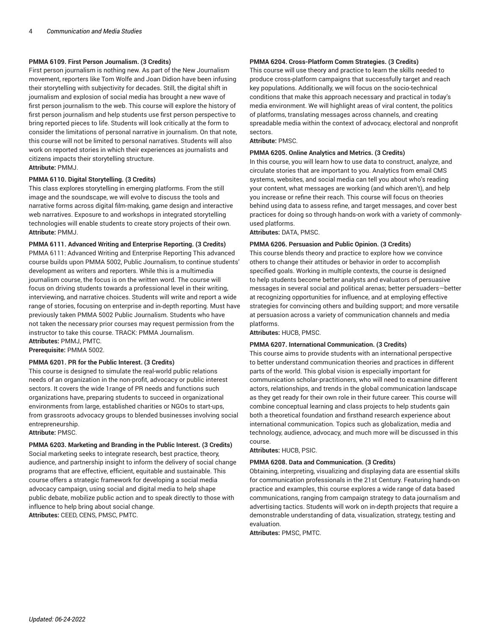## **PMMA 6109. First Person Journalism. (3 Credits)**

First person journalism is nothing new. As part of the New Journalism movement, reporters like Tom Wolfe and Joan Didion have been infusing their storytelling with subjectivity for decades. Still, the digital shift in journalism and explosion of social media has brought a new wave of first person journalism to the web. This course will explore the history of first person journalism and help students use first person perspective to bring reported pieces to life. Students will look critically at the form to consider the limitations of personal narrative in journalism. On that note, this course will not be limited to personal narratives. Students will also work on reported stories in which their experiences as journalists and citizens impacts their storytelling structure. **Attribute:** PMMJ.

## **PMMA 6110. Digital Storytelling. (3 Credits)**

This class explores storytelling in emerging platforms. From the still image and the soundscape, we will evolve to discuss the tools and narrative forms across digital film-making, game design and interactive web narratives. Exposure to and workshops in integrated storytelling technologies will enable students to create story projects of their own. **Attribute:** PMMJ.

## **PMMA 6111. Advanced Writing and Enterprise Reporting. (3 Credits)**

PMMA 6111: Advanced Writing and Enterprise Reporting This advanced course builds upon PMMA 5002, Public Journalism, to continue students' development as writers and reporters. While this is a multimedia journalism course, the focus is on the written word. The course will focus on driving students towards a professional level in their writing, interviewing, and narrative choices. Students will write and report a wide range of stories, focusing on enterprise and in-depth reporting. Must have previously taken PMMA 5002 Public Journalism. Students who have not taken the necessary prior courses may request permission from the instructor to take this course. TRACK: PMMA Journalism. **Attributes:** PMMJ, PMTC.

**Prerequisite:** PMMA 5002.

## **PMMA 6201. PR for the Public Interest. (3 Credits)**

This course is designed to simulate the real-world public relations needs of an organization in the non-profit, advocacy or public interest sectors. It covers the wide 1range of PR needs and functions such organizations have, preparing students to succeed in organizational environments from large, established charities or NGOs to start-ups, from grassroots advocacy groups to blended businesses involving social entrepreneurship.

**Attribute:** PMSC.

**PMMA 6203. Marketing and Branding in the Public Interest. (3 Credits)** Social marketing seeks to integrate research, best practice, theory, audience, and partnership insight to inform the delivery of social change programs that are effective, efficient, equitable and sustainable. This course offers a strategic framework for developing a social media advocacy campaign, using social and digital media to help shape public debate, mobilize public action and to speak directly to those with influence to help bring about social change. **Attributes:** CEED, CENS, PMSC, PMTC.

## **PMMA 6204. Cross-Platform Comm Strategies. (3 Credits)**

This course will use theory and practice to learn the skills needed to produce cross-platform campaigns that successfully target and reach key populations. Additionally, we will focus on the socio-technical conditions that make this approach necessary and practical in today's media environment. We will highlight areas of viral content, the politics of platforms, translating messages across channels, and creating spreadable media within the context of advocacy, electoral and nonprofit sectors.

**Attribute:** PMSC.

#### **PMMA 6205. Online Analytics and Metrics. (3 Credits)**

In this course, you will learn how to use data to construct, analyze, and circulate stories that are important to you. Analytics from email CMS systems, websites, and social media can tell you about who's reading your content, what messages are working (and which aren't), and help you increase or refine their reach. This course will focus on theories behind using data to assess refine, and target messages, and cover best practices for doing so through hands-on work with a variety of commonlyused platforms.

**Attributes:** DATA, PMSC.

## **PMMA 6206. Persuasion and Public Opinion. (3 Credits)**

This course blends theory and practice to explore how we convince others to change their attitudes or behavior in order to accomplish specified goals. Working in multiple contexts, the course is designed to help students become better analysts and evaluators of persuasive messages in several social and political arenas; better persuaders—better at recognizing opportunities for influence, and at employing effective strategies for convincing others and building support; and more versatile at persuasion across a variety of communication channels and media platforms.

**Attributes:** HUCB, PMSC.

## **PMMA 6207. International Communication. (3 Credits)**

This course aims to provide students with an international perspective to better understand communication theories and practices in different parts of the world. This global vision is especially important for communication scholar-practitioners, who will need to examine different actors, relationships, and trends in the global communication landscape as they get ready for their own role in their future career. This course will combine conceptual learning and class projects to help students gain both a theoretical foundation and firsthand research experience about international communication. Topics such as globalization, media and technology, audience, advocacy, and much more will be discussed in this course.

**Attributes:** HUCB, PSIC.

## **PMMA 6208. Data and Communication. (3 Credits)**

Obtaining, interpreting, visualizing and displaying data are essential skills for communication professionals in the 21st Century. Featuring hands-on practice and examples, this course explores a wide range of data based communications, ranging from campaign strategy to data journalism and advertising tactics. Students will work on in-depth projects that require a demonstrable understanding of data, visualization, strategy, testing and evaluation.

**Attributes:** PMSC, PMTC.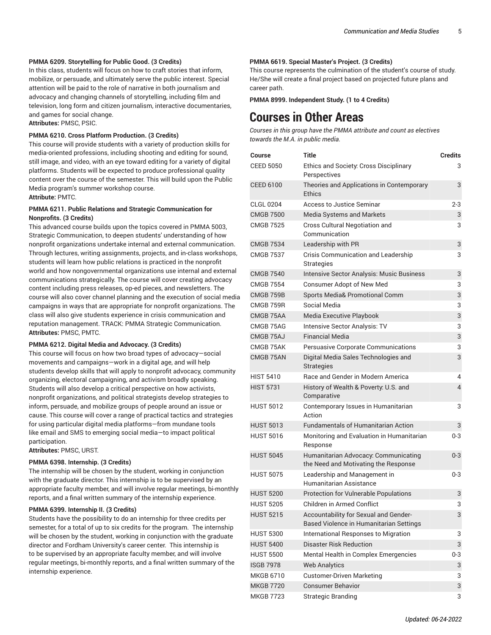## **PMMA 6209. Storytelling for Public Good. (3 Credits)**

In this class, students will focus on how to craft stories that inform, mobilize, or persuade, and ultimately serve the public interest. Special attention will be paid to the role of narrative in both journalism and advocacy and changing channels of storytelling, including film and television, long form and citizen journalism, interactive documentaries, and games for social change.

**Attributes:** PMSC, PSIC.

## **PMMA 6210. Cross Platform Production. (3 Credits)**

This course will provide students with a variety of production skills for media-oriented professions, including shooting and editing for sound, still image, and video, with an eye toward editing for a variety of digital platforms. Students will be expected to produce professional quality content over the course of the semester. This will build upon the Public Media program's summer workshop course. **Attribute:** PMTC.

## **PMMA 6211. Public Relations and Strategic Communication for Nonprofits. (3 Credits)**

This advanced course builds upon the topics covered in PMMA 5003, Strategic Communication, to deepen students' understanding of how nonprofit organizations undertake internal and external communication. Through lectures, writing assignments, projects, and in-class workshops, students will learn how public relations is practiced in the nonprofit world and how nongovernmental organizations use internal and external communications strategically. The course will cover creating advocacy content including press releases, op-ed pieces, and newsletters. The course will also cover channel planning and the execution of social media campaigns in ways that are appropriate for nonprofit organizations. The class will also give students experience in crisis communication and reputation management. TRACK: PMMA Strategic Communication. **Attributes:** PMSC, PMTC.

## **PMMA 6212. Digital Media and Advocacy. (3 Credits)**

This course will focus on how two broad types of advocacy—social movements and campaigns—work in a digital age, and will help students develop skills that will apply to nonprofit advocacy, community organizing, electoral campaigning, and activism broadly speaking. Students will also develop a critical perspective on how activists, nonprofit organizations, and political strategists develop strategies to inform, persuade, and mobilize groups of people around an issue or cause. This course will cover a range of practical tactics and strategies for using particular digital media platforms—from mundane tools like email and SMS to emerging social media—to impact political participation.

**Attributes:** PMSC, URST.

## **PMMA 6398. Internship. (3 Credits)**

The internship will be chosen by the student, working in conjunction with the graduate director. This internship is to be supervised by an appropriate faculty member, and will involve regular meetings, bi-monthly reports, and a final written summary of the internship experience.

## **PMMA 6399. Internship II. (3 Credits)**

Students have the possibility to do an internship for three credits per semester, for a total of up to six credits for the program. The internship will be chosen by the student, working in conjunction with the graduate director and Fordham University's career center. This internship is to be supervised by an appropriate faculty member, and will involve regular meetings, bi-monthly reports, and a final written summary of the internship experience.

## **PMMA 6619. Special Master's Project. (3 Credits)**

This course represents the culmination of the student's course of study. He/She will create a final project based on projected future plans and career path.

**PMMA 8999. Independent Study. (1 to 4 Credits)**

## **Courses in Other Areas**

*Courses in this group have the PMMA attribute and count as electives towards the M.A. in public media.*

| Course           | <b>Title</b>                                                                     | <b>Credits</b>          |
|------------------|----------------------------------------------------------------------------------|-------------------------|
| <b>CEED 5050</b> | Ethics and Society: Cross Disciplinary<br>Perspectives                           | 3                       |
| <b>CEED 6100</b> | Theories and Applications in Contemporary<br><b>Ethics</b>                       | 3                       |
| <b>CLGL 0204</b> | Access to Justice Seminar                                                        | $2 - 3$                 |
| <b>CMGB 7500</b> | Media Systems and Markets                                                        | 3                       |
| <b>CMGB 7525</b> | Cross Cultural Negotiation and<br>Communication                                  | 3                       |
| <b>CMGB 7534</b> | Leadership with PR                                                               | 3                       |
| <b>CMGB 7537</b> | Crisis Communication and Leadership<br><b>Strategies</b>                         | 3                       |
| <b>CMGB 7540</b> | Intensive Sector Analysis: Music Business                                        | 3                       |
| <b>CMGB 7554</b> | <b>Consumer Adopt of New Med</b>                                                 | 3                       |
| CMGB 759B        | Sports Media& Promotional Comm                                                   | 3                       |
| CMGB 759R        | Social Media                                                                     | 3                       |
| CMGB 75AA        | Media Executive Playbook                                                         | 3                       |
| CMGB 75AG        | <b>Intensive Sector Analysis: TV</b>                                             | 3                       |
| CMGB 75AJ        | <b>Financial Media</b>                                                           | 3                       |
| CMGB 75AK        | Persuasive Corporate Communications                                              | 3                       |
| CMGB 75AN        | Digital Media Sales Technologies and<br><b>Strategies</b>                        | 3                       |
| <b>HIST 5410</b> | Race and Gender in Modern America                                                | 4                       |
| <b>HIST 5731</b> | History of Wealth & Poverty: U.S. and<br>Comparative                             | $\overline{\mathbf{4}}$ |
| <b>HUST 5012</b> | Contemporary Issues in Humanitarian<br>Action                                    | 3                       |
| <b>HUST 5013</b> | <b>Fundamentals of Humanitarian Action</b>                                       | 3                       |
| <b>HUST 5016</b> | Monitoring and Evaluation in Humanitarian<br>Response                            | $0 - 3$                 |
| <b>HUST 5045</b> | Humanitarian Advocacy: Communicating<br>the Need and Motivating the Response     | $0 - 3$                 |
| <b>HUST 5075</b> | Leadership and Management in<br>Humanitarian Assistance                          | $0 - 3$                 |
| <b>HUST 5200</b> | <b>Protection for Vulnerable Populations</b>                                     | 3                       |
| <b>HUST 5205</b> | Children in Armed Conflict                                                       | 3                       |
| <b>HUST 5215</b> | Accountability for Sexual and Gender-<br>Based Violence in Humanitarian Settings | 3                       |
| <b>HUST 5300</b> | International Responses to Migration                                             | 3                       |
| <b>HUST 5400</b> | <b>Disaster Risk Reduction</b>                                                   | 3                       |
| <b>HUST 5500</b> | Mental Health in Complex Emergencies                                             | 0-3                     |
| <b>ISGB 7978</b> | <b>Web Analytics</b>                                                             | 3                       |
| <b>MKGB 6710</b> | <b>Customer-Driven Marketing</b>                                                 | 3                       |
| <b>MKGB 7720</b> | <b>Consumer Behavior</b>                                                         | 3                       |
| <b>MKGB 7723</b> | <b>Strategic Branding</b>                                                        | 3                       |